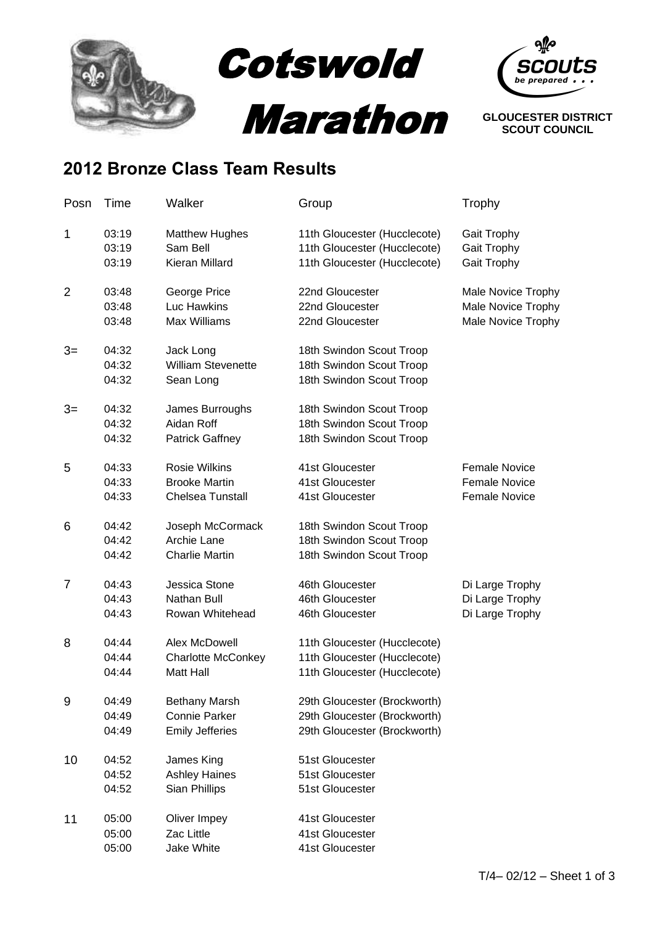



**SCOUT COUNCIL**

## **2012 Bronze Class Team Results**

| Posn           | Time           | Walker                            | Group                                                        | Trophy                     |
|----------------|----------------|-----------------------------------|--------------------------------------------------------------|----------------------------|
| 1              | 03:19<br>03:19 | <b>Matthew Hughes</b><br>Sam Bell | 11th Gloucester (Hucclecote)<br>11th Gloucester (Hucclecote) | Gait Trophy<br>Gait Trophy |
|                | 03:19          | Kieran Millard                    | 11th Gloucester (Hucclecote)                                 | Gait Trophy                |
| $\overline{2}$ | 03:48          | George Price                      | 22nd Gloucester                                              | Male Novice Trophy         |
|                | 03:48          | Luc Hawkins                       | 22nd Gloucester                                              | Male Novice Trophy         |
|                | 03:48          | <b>Max Williams</b>               | 22nd Gloucester                                              | Male Novice Trophy         |
| $3=$           | 04:32          | Jack Long                         | 18th Swindon Scout Troop                                     |                            |
|                | 04:32          | <b>William Stevenette</b>         | 18th Swindon Scout Troop                                     |                            |
|                | 04:32          | Sean Long                         | 18th Swindon Scout Troop                                     |                            |
| $3=$           | 04:32          | James Burroughs                   | 18th Swindon Scout Troop                                     |                            |
|                | 04:32          | Aidan Roff                        | 18th Swindon Scout Troop                                     |                            |
|                | 04:32          | <b>Patrick Gaffney</b>            | 18th Swindon Scout Troop                                     |                            |
| 5              | 04:33          | <b>Rosie Wilkins</b>              | 41st Gloucester                                              | <b>Female Novice</b>       |
|                | 04:33          | <b>Brooke Martin</b>              | 41st Gloucester                                              | <b>Female Novice</b>       |
|                | 04:33          | <b>Chelsea Tunstall</b>           | 41st Gloucester                                              | <b>Female Novice</b>       |
| 6              | 04:42          | Joseph McCormack                  | 18th Swindon Scout Troop                                     |                            |
|                | 04:42          | Archie Lane                       | 18th Swindon Scout Troop                                     |                            |
|                | 04:42          | <b>Charlie Martin</b>             | 18th Swindon Scout Troop                                     |                            |
| $\overline{7}$ | 04:43          | Jessica Stone                     | 46th Gloucester                                              | Di Large Trophy            |
|                | 04:43          | Nathan Bull                       | 46th Gloucester                                              | Di Large Trophy            |
|                | 04:43          | Rowan Whitehead                   | 46th Gloucester                                              | Di Large Trophy            |
| 8              | 04:44          | Alex McDowell                     | 11th Gloucester (Hucclecote)                                 |                            |
|                | 04:44          | <b>Charlotte McConkey</b>         | 11th Gloucester (Hucclecote)                                 |                            |
|                | 04:44          | <b>Matt Hall</b>                  | 11th Gloucester (Hucclecote)                                 |                            |
| 9              | 04:49          | <b>Bethany Marsh</b>              | 29th Gloucester (Brockworth)                                 |                            |
|                | 04:49          | <b>Connie Parker</b>              | 29th Gloucester (Brockworth)                                 |                            |
|                | 04:49          | <b>Emily Jefferies</b>            | 29th Gloucester (Brockworth)                                 |                            |
| 10             | 04:52          | James King                        | 51st Gloucester                                              |                            |
|                | 04:52          | <b>Ashley Haines</b>              | 51st Gloucester                                              |                            |
|                | 04:52          | Sian Phillips                     | 51st Gloucester                                              |                            |
| 11             | 05:00          | Oliver Impey                      | 41st Gloucester                                              |                            |
|                | 05:00          | Zac Little                        | 41st Gloucester                                              |                            |
|                | 05:00          | Jake White                        | 41st Gloucester                                              |                            |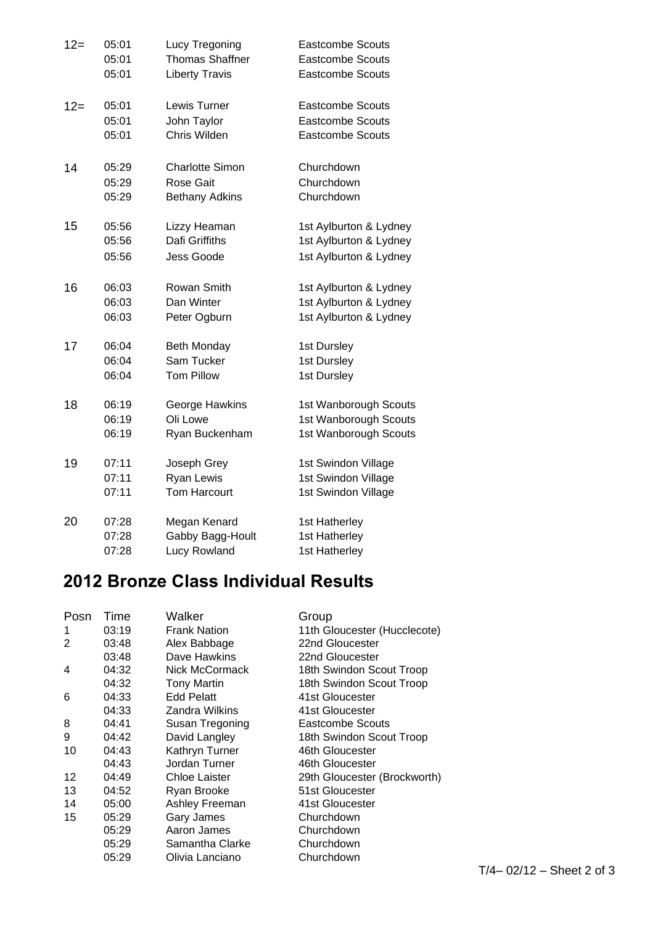| $12 =$ | 05:01 | Lucy Tregoning         | <b>Eastcombe Scouts</b> |
|--------|-------|------------------------|-------------------------|
|        | 05:01 | <b>Thomas Shaffner</b> | <b>Eastcombe Scouts</b> |
|        | 05:01 | <b>Liberty Travis</b>  | <b>Eastcombe Scouts</b> |
| $12=$  | 05:01 | Lewis Turner           | <b>Eastcombe Scouts</b> |
|        | 05:01 | John Taylor            | <b>Eastcombe Scouts</b> |
|        | 05:01 | Chris Wilden           | <b>Eastcombe Scouts</b> |
| 14     | 05:29 | <b>Charlotte Simon</b> | Churchdown              |
|        | 05:29 | Rose Gait              | Churchdown              |
|        | 05:29 | <b>Bethany Adkins</b>  | Churchdown              |
| 15     | 05:56 | Lizzy Heaman           | 1st Aylburton & Lydney  |
|        | 05:56 | Dafi Griffiths         | 1st Aylburton & Lydney  |
|        | 05:56 | Jess Goode             | 1st Aylburton & Lydney  |
| 16     | 06:03 | Rowan Smith            | 1st Aylburton & Lydney  |
|        | 06:03 | Dan Winter             | 1st Aylburton & Lydney  |
|        | 06:03 | Peter Ogburn           | 1st Aylburton & Lydney  |
| 17     | 06:04 | <b>Beth Monday</b>     | 1st Dursley             |
|        | 06:04 | Sam Tucker             | 1st Dursley             |
|        | 06:04 | <b>Tom Pillow</b>      | 1st Dursley             |
| 18     | 06:19 | George Hawkins         | 1st Wanborough Scouts   |
|        | 06:19 | Oli Lowe               | 1st Wanborough Scouts   |
|        | 06:19 | Ryan Buckenham         | 1st Wanborough Scouts   |
| 19     | 07:11 | Joseph Grey            | 1st Swindon Village     |
|        | 07:11 | Ryan Lewis             | 1st Swindon Village     |
|        | 07:11 | <b>Tom Harcourt</b>    | 1st Swindon Village     |
| 20     | 07:28 | Megan Kenard           | 1st Hatherley           |
|        | 07:28 | Gabby Bagg-Hoult       | 1st Hatherley           |
|        | 07:28 | <b>Lucy Rowland</b>    | 1st Hatherley           |

## **2012 Bronze Class Individual Results**

| Posn | Time  | Walker               | Group                        |
|------|-------|----------------------|------------------------------|
| 1    | 03:19 | <b>Frank Nation</b>  | 11th Gloucester (Hucclecote) |
| 2    | 03:48 | Alex Babbage         | 22nd Gloucester              |
|      | 03:48 | Dave Hawkins         | 22nd Gloucester              |
| 4    | 04:32 | Nick McCormack       | 18th Swindon Scout Troop     |
|      | 04:32 | <b>Tony Martin</b>   | 18th Swindon Scout Troop     |
| 6    | 04:33 | <b>Edd Pelatt</b>    | 41st Gloucester              |
|      | 04:33 | Zandra Wilkins       | 41st Gloucester              |
| 8    | 04:41 | Susan Tregoning      | Eastcombe Scouts             |
| 9    | 04:42 | David Langley        | 18th Swindon Scout Troop     |
| 10   | 04:43 | Kathryn Turner       | 46th Gloucester              |
|      | 04:43 | Jordan Turner        | 46th Gloucester              |
| 12   | 04:49 | <b>Chloe Laister</b> | 29th Gloucester (Brockworth) |
| 13   | 04:52 | Ryan Brooke          | 51st Gloucester              |
| 14   | 05:00 | Ashley Freeman       | 41st Gloucester              |
| 15   | 05:29 | Gary James           | Churchdown                   |
|      | 05:29 | Aaron James          | Churchdown                   |
|      | 05:29 | Samantha Clarke      | Churchdown                   |
|      | 05:29 | Olivia Lanciano      | Churchdown                   |